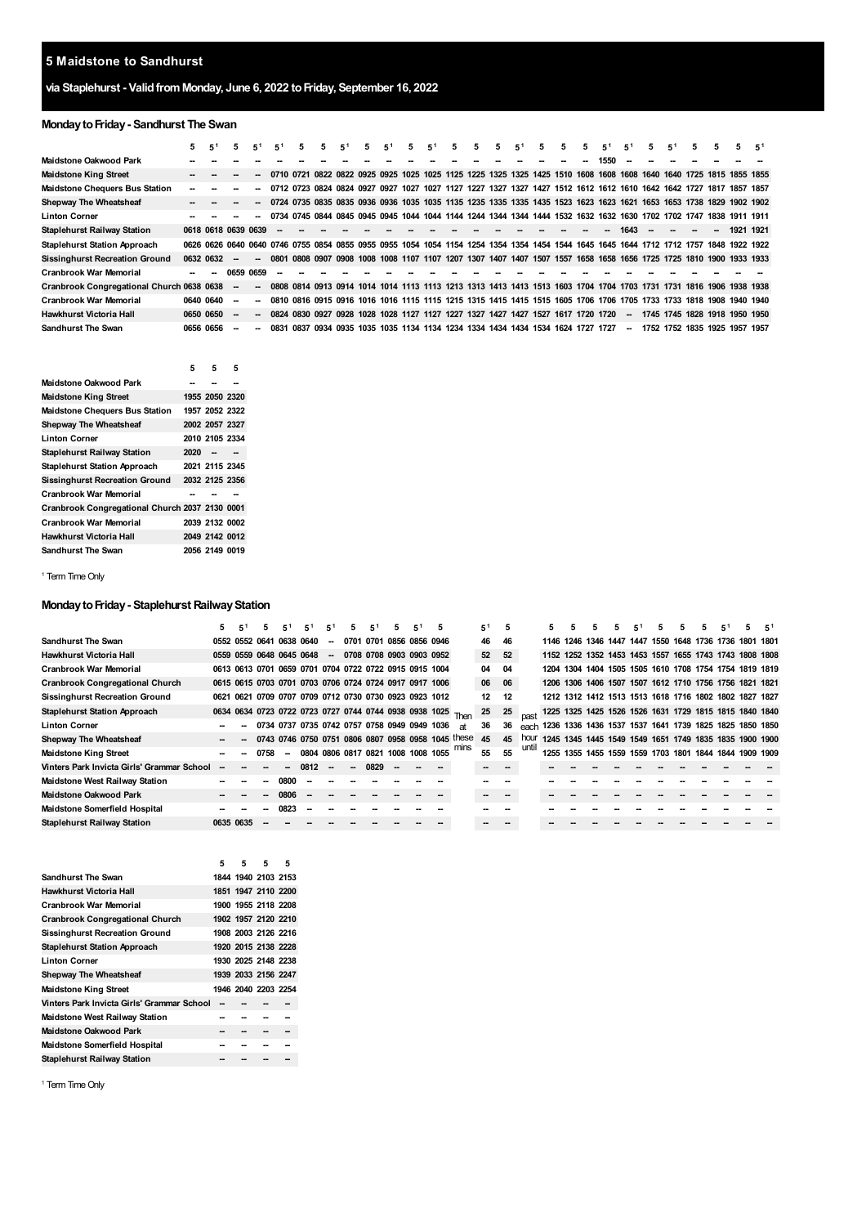### **Maidstone to Sandhurst**

# **via Staplehurst - ValidfromMonday, June 6, 2022 toFriday, September 16, 2022**

# **MondaytoFriday- Sandhurst The Swan**

|                                           | 5                        | 5 <sup>1</sup>                                                                                                          |    | 5 <sup>1</sup>           | 5 <sup>1</sup>           | 5 | 5. | 5 <sup>1</sup> | 5 | 5 <sup>1</sup> | 5.                                                                                                                 | 5 <sup>1</sup> | 5 | 5 | 5 | 5 <sup>1</sup> | 5 | 5. | 5 | 5 <sup>1</sup> | 5 <sup>1</sup>           | 5.                                 | 5 <sup>1</sup>      | 5 | 5 | 5.             | -51 |
|-------------------------------------------|--------------------------|-------------------------------------------------------------------------------------------------------------------------|----|--------------------------|--------------------------|---|----|----------------|---|----------------|--------------------------------------------------------------------------------------------------------------------|----------------|---|---|---|----------------|---|----|---|----------------|--------------------------|------------------------------------|---------------------|---|---|----------------|-----|
| Maidstone Oakwood Park                    |                          |                                                                                                                         |    |                          |                          |   |    |                |   |                |                                                                                                                    |                |   |   |   |                |   |    |   | 1550           |                          |                                    |                     |   |   |                |     |
| <b>Maidstone King Street</b>              |                          |                                                                                                                         |    |                          |                          |   |    |                |   |                | 0710 0721 0822 0822 0925 0925 1025 1025 1125 1225 1325 1325 1425 1510 1608 1608 1608 1640 1640 1725 1815 1855 1855 |                |   |   |   |                |   |    |   |                |                          |                                    |                     |   |   |                |     |
| <b>Maidstone Chequers Bus Station</b>     | $\overline{\phantom{a}}$ |                                                                                                                         |    |                          |                          |   |    |                |   |                | 0712 0723 0824 0824 0927 0927 1027 1027 1127 1227 1327 1327 1427 1512 1612 1612 1610 1642 1642 1727 1817 1857 1857 |                |   |   |   |                |   |    |   |                |                          |                                    |                     |   |   |                |     |
| Shepway The Wheatsheaf                    | $\overline{\phantom{a}}$ |                                                                                                                         |    |                          |                          |   |    |                |   |                | 0724 0735 0835 0835 0936 0936 1035 1035 1135 1235 1335 1335 1435 1523 1623 1623 1621 1653 1653 1738 1829 1902 1902 |                |   |   |   |                |   |    |   |                |                          |                                    |                     |   |   |                |     |
| <b>Linton Corner</b>                      |                          |                                                                                                                         |    |                          |                          |   |    |                |   |                | 0734 0745 0844 0845 0945 0945 1044 1044 1144 1244 1344 1344 1444 1532 1632 1632 1630 1702 1702 1747 1838 1911 1911 |                |   |   |   |                |   |    |   |                |                          |                                    |                     |   |   |                |     |
| <b>Staplehurst Railway Station</b>        |                          | 0618 0618 0639 0639                                                                                                     |    |                          | $\overline{\phantom{a}}$ |   |    |                |   |                |                                                                                                                    |                |   |   |   |                |   |    |   |                | 1643                     | <b>.</b>                           | $\sim$              |   |   | 1921 1921      |     |
| <b>Staplehurst Station Approach</b>       |                          | 0626 0626 0640 0640 0746 0755 0854 0855 0955 0955 1054 1054 1154 1254 1354 1354 1454 1544 1645 1645 1644 1712 1712 1757 |    |                          |                          |   |    |                |   |                |                                                                                                                    |                |   |   |   |                |   |    |   |                |                          |                                    |                     |   |   | 1848 1922 1922 |     |
| <b>Sissinghurst Recreation Ground</b>     |                          | 0632 0632                                                                                                               |    | $\overline{\phantom{a}}$ | 0801                     |   |    |                |   |                | 0808 0907 0908 1008 1008 1107 1107 1207 1307 1407 1407 1507 1557 1658 1658 1656 1725 1725 1810 1900 1933 1933      |                |   |   |   |                |   |    |   |                |                          |                                    |                     |   |   |                |     |
| <b>Cranbrook War Memorial</b>             |                          |                                                                                                                         |    | 0659 0659                | $\overline{\phantom{a}}$ |   |    |                |   |                |                                                                                                                    |                |   |   |   |                |   |    |   |                |                          |                                    |                     |   |   |                |     |
| Cranbrook Congregational Church 0638 0638 |                          |                                                                                                                         |    | $\overline{\phantom{a}}$ |                          |   |    |                |   |                | 0808 0814 0913 0914 1014 1014 1113 1113 1213 1313 1413 1413 1513 1603 1704 1704 1703 1731 1731 1816 1906 1938 1938 |                |   |   |   |                |   |    |   |                |                          |                                    |                     |   |   |                |     |
| <b>Cranbrook War Memorial</b>             |                          | 0640 0640                                                                                                               | -- |                          |                          |   |    |                |   |                | 0810 0816 0915 0916 1016 1016 1115 1115 1215 1315 1415 1415 1515 1605 1706 1706                                    |                |   |   |   |                |   |    |   |                |                          | 1705 1733 1733 1818 1908 1940 1940 |                     |   |   |                |     |
| Hawkhurst Victoria Hall                   | 0650 0650                |                                                                                                                         |    |                          |                          |   |    |                |   |                | 0824 0830 0927 0928 1028 1028 1127 1127 1227 1327 1427 1427 1527 1617 1720 1720                                    |                |   |   |   |                |   |    |   |                | $\overline{\phantom{a}}$ | 1745 1745 1828 1918 1950 1950      |                     |   |   |                |     |
| <b>Sandhurst The Swan</b>                 | 0656 0656                |                                                                                                                         |    |                          | <b>NR31</b>              |   |    |                |   |                | 0837 0934 0935 1035 1035 1134 1134 1234 1334 1434 1434 1534 1624 1727 1727                                         |                |   |   |   |                |   |    |   |                | -                        |                                    | 1752 1752 1835 1925 |   |   | 1957 1957      |     |

|                                                | 5    | 5              | 5 |
|------------------------------------------------|------|----------------|---|
| Maidstone Oakwood Park                         |      |                |   |
| <b>Maidstone King Street</b>                   |      | 1955 2050 2320 |   |
| <b>Maidstone Chequers Bus Station</b>          |      | 1957 2052 2322 |   |
| Shepway The Wheatsheaf                         |      | 2002 2057 2327 |   |
| Linton Corner                                  |      | 2010 2105 2334 |   |
| Staplehurst Railway Station                    | 2020 |                |   |
| <b>Staplehurst Station Approach</b>            |      | 2021 2115 2345 |   |
| <b>Sissinghurst Recreation Ground</b>          |      | 2032 2125 2356 |   |
| Cranbrook War Memorial                         |      |                |   |
| Cranbrook Congregational Church 2037 2130 0001 |      |                |   |
| Cranbrook War Memorial                         |      | 2039 2132 0002 |   |
| Hawkhurst Victoria Hall                        |      | 2049 2142 0012 |   |
| Sandhurst The Swan                             |      | 2056 2149 0019 |   |

<span id="page-0-0"></span><sup>1</sup> Term Time Only

### **Monday to Friday - Staplehurst Railway Station**

|                                            | 5 | $5^1$                                                  | 5 | $5^1$ | 5 <sup>1</sup>                               | 5 <sup>1</sup>           | 5.                       | 5 <sup>1</sup>           | 5. | 5                                                           |      | $5^1$ | 5  |       | 5 |  | 5. | 5 <sup>1</sup> | 5 | 5. | 5                                                      | 5 <sup>1</sup> |  |
|--------------------------------------------|---|--------------------------------------------------------|---|-------|----------------------------------------------|--------------------------|--------------------------|--------------------------|----|-------------------------------------------------------------|------|-------|----|-------|---|--|----|----------------|---|----|--------------------------------------------------------|----------------|--|
| Sandhurst The Swan                         |   | 0552 0552 0641 0638 0640                               |   |       |                                              | $\sim$                   |                          | 0701 0701 0856 0856 0946 |    |                                                             |      | 46    | 46 |       |   |  |    |                |   |    | 1146 1246 1346 1447 1447 1550 1648 1736 1736 1801 1801 |                |  |
| Hawkhurst Victoria Hall                    |   | 0559 0559 0648 0645 0648                               |   |       |                                              | $\sim$                   |                          | 0708 0708 0903 0903 0952 |    |                                                             |      | 52    | 52 |       |   |  |    |                |   |    | 1152 1252 1352 1453 1453 1557 1655 1743 1743 1808 1808 |                |  |
| Cranbrook War Memorial                     |   | 0613 0613 0701 0659 0701 0704 0722 0722 0915 0915 1004 |   |       |                                              |                          |                          |                          |    |                                                             |      | 04    | 04 |       |   |  |    |                |   |    | 1204 1304 1404 1505 1505 1610 1708 1754 1754 1819 1819 |                |  |
| <b>Cranbrook Congregational Church</b>     |   | 0615 0615 0703 0701 0703 0706 0724 0724 0917 0917 1006 |   |       |                                              |                          |                          |                          |    |                                                             |      | 06    | 06 |       |   |  |    |                |   |    | 1206 1306 1406 1507 1507 1612 1710 1756 1756 1821 1821 |                |  |
| <b>Sissinghurst Recreation Ground</b>      |   | 0621 0621 0709 0707 0709 0712 0730 0730 0923 0923 1012 |   |       |                                              |                          |                          |                          |    |                                                             |      | 12    | 12 |       |   |  |    |                |   |    | 1212 1312 1412 1513 1513 1618 1716 1802 1802 1827 1827 |                |  |
| <b>Staplehurst Station Approach</b>        |   |                                                        |   |       |                                              |                          |                          |                          |    | 0634 0634 0723 0722 0723 0727 0744 0744 0938 0938 1025 Then |      | 25    | 25 |       |   |  |    |                |   |    | 1225 1325 1425 1526 1526 1631 1729 1815 1815 1840 1840 |                |  |
| Linton Corner                              |   |                                                        |   |       | 0734 0737 0735 0742 0757 0758 0949 0949 1036 |                          |                          |                          |    |                                                             | яt   | 36    | 36 | each  |   |  |    |                |   |    | 1236 1336 1436 1537 1537 1641 1739 1825 1825 1850 1850 |                |  |
| Shepway The Wheatsheaf                     |   |                                                        |   |       |                                              |                          |                          |                          |    | 0743 0746 0750 0751 0806 0807 0958 0958 1045 these          |      | 45    | 45 | hour  |   |  |    |                |   |    | 1245 1345 1445 1549 1549 1651 1749 1835 1835 1900 1900 |                |  |
| <b>Maidstone King Street</b>               |   |                                                        |   |       | 0804 0806 0817 0821 1008 1008 1055           |                          |                          |                          |    |                                                             | mins | 55    | 55 | until |   |  |    |                |   |    | 1255 1355 1455 1559 1559 1703 1801 1844 1844 1909 1909 |                |  |
| Vinters Park Invicta Girls' Grammar School |   |                                                        |   |       | 0812                                         | $\overline{\phantom{a}}$ | $\overline{\phantom{a}}$ | 0829                     |    |                                                             |      |       |    |       |   |  |    |                |   |    |                                                        |                |  |
| Maidstone West Railway Station             |   |                                                        |   | 0800  |                                              |                          |                          |                          |    |                                                             |      |       |    |       |   |  |    |                |   |    |                                                        |                |  |
| <b>Maidstone Oakwood Park</b>              |   |                                                        |   | 0806  |                                              |                          |                          |                          |    |                                                             |      |       |    |       |   |  |    |                |   |    |                                                        |                |  |
| Maidstone Somerfield Hospital              |   |                                                        |   | 0823  |                                              |                          |                          |                          |    |                                                             |      |       |    |       |   |  |    |                |   |    |                                                        |                |  |
| Staplehurst Railway Station                |   | 0635 0635                                              |   |       |                                              |                          |                          |                          |    |                                                             |      |       |    |       |   |  |    |                |   |    |                                                        |                |  |
|                                            |   |                                                        |   |       |                                              |                          |                          |                          |    |                                                             |      |       |    |       |   |  |    |                |   |    |                                                        |                |  |

|                                            | 5 | 5. | 5.                  | 5 |
|--------------------------------------------|---|----|---------------------|---|
| Sandhurst The Swan                         |   |    | 1844 1940 2103 2153 |   |
| Hawkhurst Victoria Hall                    |   |    | 1851 1947 2110 2200 |   |
| Cranbrook War Memorial                     |   |    | 1900 1955 2118 2208 |   |
| <b>Cranbrook Congregational Church</b>     |   |    | 1902 1957 2120 2210 |   |
| Sissinghurst Recreation Ground             |   |    | 1908 2003 2126 2216 |   |
| <b>Staplehurst Station Approach</b>        |   |    | 1920 2015 2138 2228 |   |
| <b>Linton Corner</b>                       |   |    | 1930 2025 2148 2238 |   |
| Shepway The Wheatsheaf                     |   |    | 1939 2033 2156 2247 |   |
| Maidstone King Street                      |   |    | 1946 2040 2203 2254 |   |
| Vinters Park Invicta Girls' Grammar School |   |    |                     |   |
| Maidstone West Railway Station             |   |    |                     |   |
| Maidstone Oakwood Park                     |   |    |                     |   |
| Maidstone Somerfield Hospital              |   |    |                     |   |
| Staplehurst Railway Station                |   |    |                     |   |
|                                            |   |    |                     |   |

<sup>1</sup> Term Time Only